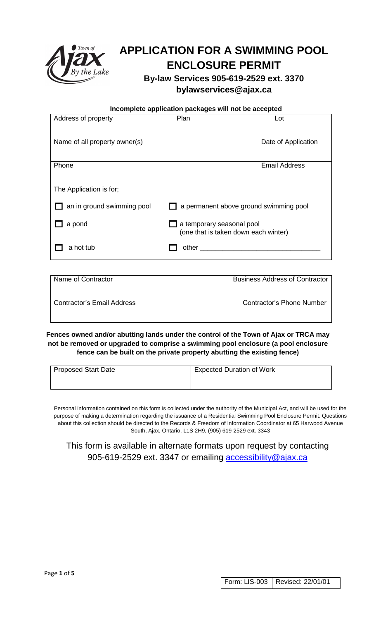

# **APPLICATION FOR A SWIMMING POOL ENCLOSURE PERMIT**

**By-law Services 905-619-2529 ext. 3370 bylawservices@ajax.ca**

 **Incomplete application packages will not be accepted**

| Address of property           | Plan<br>Lot                            |
|-------------------------------|----------------------------------------|
|                               |                                        |
| Name of all property owner(s) | Date of Application                    |
|                               |                                        |
| Phone                         | <b>Email Address</b>                   |
|                               |                                        |
| The Application is for;       |                                        |
| an in ground swimming pool    | a permanent above ground swimming pool |
| a pond                        | a temporary seasonal pool              |
|                               | (one that is taken down each winter)   |
| a hot tub                     | other                                  |
|                               |                                        |

| <b>Business Address of Contractor</b> |  |  |
|---------------------------------------|--|--|
|                                       |  |  |
| Contractor's Phone Number             |  |  |
|                                       |  |  |

**Fences owned and/or abutting lands under the control of the Town of Ajax or TRCA may not be removed or upgraded to comprise a swimming pool enclosure (a pool enclosure fence can be built on the private property abutting the existing fence)**

| <b>Proposed Start Date</b> | <b>Expected Duration of Work</b> |
|----------------------------|----------------------------------|
|                            |                                  |

Personal information contained on this form is collected under the authority of the Municipal Act, and will be used for the purpose of making a determination regarding the issuance of a Residential Swimming Pool Enclosure Permit. Questions about this collection should be directed to the Records & Freedom of Information Coordinator at 65 Harwood Avenue South, Ajax, Ontario, L1S 2H9, (905) 619-2529 ext. 3343

This form is available in alternate formats upon request by contacting 905-619-2529 ext. 3347 or emailing [accessibility@ajax.ca](mailto:accessibility@ajax.ca)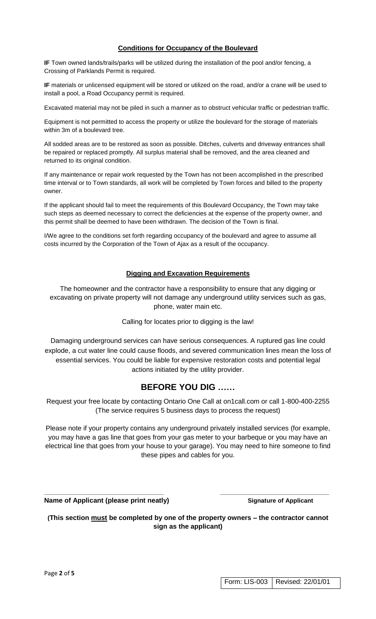#### **Conditions for Occupancy of the Boulevard**

**IF** Town owned lands/trails/parks will be utilized during the installation of the pool and/or fencing, a Crossing of Parklands Permit is required.

**IF** materials or unlicensed equipment will be stored or utilized on the road, and/or a crane will be used to install a pool, a Road Occupancy permit is required.

Excavated material may not be piled in such a manner as to obstruct vehicular traffic or pedestrian traffic.

Equipment is not permitted to access the property or utilize the boulevard for the storage of materials within 3m of a boulevard tree.

All sodded areas are to be restored as soon as possible. Ditches, culverts and driveway entrances shall be repaired or replaced promptly. All surplus material shall be removed, and the area cleaned and returned to its original condition.

If any maintenance or repair work requested by the Town has not been accomplished in the prescribed time interval or to Town standards, all work will be completed by Town forces and billed to the property owner.

If the applicant should fail to meet the requirements of this Boulevard Occupancy, the Town may take such steps as deemed necessary to correct the deficiencies at the expense of the property owner, and this permit shall be deemed to have been withdrawn. The decision of the Town is final.

I/We agree to the conditions set forth regarding occupancy of the boulevard and agree to assume all costs incurred by the Corporation of the Town of Ajax as a result of the occupancy.

#### **Digging and Excavation Requirements**

The homeowner and the contractor have a responsibility to ensure that any digging or excavating on private property will not damage any underground utility services such as gas, phone, water main etc.

#### Calling for locates prior to digging is the law!

Damaging underground services can have serious consequences. A ruptured gas line could explode, a cut water line could cause floods, and severed communication lines mean the loss of essential services. You could be liable for expensive restoration costs and potential legal actions initiated by the utility provider.

# **BEFORE YOU DIG ……**

Request your free locate by contacting Ontario One Call at on1call.com or call 1-800-400-2255 (The service requires 5 business days to process the request)

Please note if your property contains any underground privately installed services (for example, you may have a gas line that goes from your gas meter to your barbeque or you may have an electrical line that goes from your house to your garage). You may need to hire someone to find these pipes and cables for you.

**Name of Applicant (please print neatly)** Signature of Applicant

**(This section must be completed by one of the property owners – the contractor cannot sign as the applicant)**

**\_\_\_\_\_\_\_\_\_\_\_\_\_\_\_\_\_\_\_\_\_\_\_\_\_\_\_\_\_\_\_\_\_\_\_ \_\_\_\_\_\_\_\_\_\_\_\_\_\_\_\_\_\_\_\_\_\_\_\_\_\_\_\_\_\_\_\_**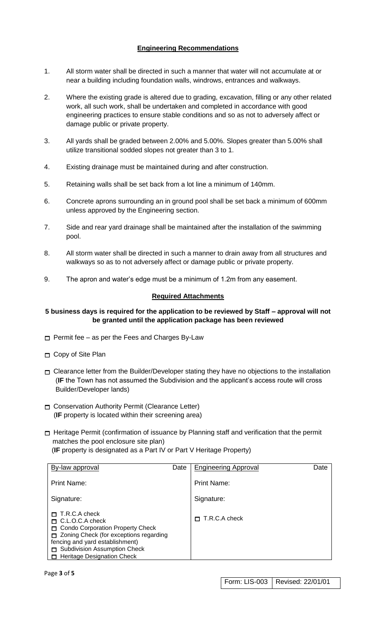# **Engineering Recommendations**

- 1. All storm water shall be directed in such a manner that water will not accumulate at or near a building including foundation walls, windrows, entrances and walkways.
- 2. Where the existing grade is altered due to grading, excavation, filling or any other related work, all such work, shall be undertaken and completed in accordance with good engineering practices to ensure stable conditions and so as not to adversely affect or damage public or private property.
- 3. All yards shall be graded between 2.00% and 5.00%. Slopes greater than 5.00% shall utilize transitional sodded slopes not greater than 3 to 1.
- 4. Existing drainage must be maintained during and after construction.
- 5. Retaining walls shall be set back from a lot line a minimum of 140mm.
- 6. Concrete aprons surrounding an in ground pool shall be set back a minimum of 600mm unless approved by the Engineering section.
- 7. Side and rear yard drainage shall be maintained after the installation of the swimming pool.
- 8. All storm water shall be directed in such a manner to drain away from all structures and walkways so as to not adversely affect or damage public or private property.
- 9. The apron and water's edge must be a minimum of 1.2m from any easement.

### **Required Attachments**

### **5 business days is required for the application to be reviewed by Staff – approval will not be granted until the application package has been reviewed**

- $\Box$  Permit fee as per the Fees and Charges By-Law
- Copy of Site Plan
- $\Box$  Clearance letter from the Builder/Developer stating they have no objections to the installation (**IF** the Town has not assumed the Subdivision and the applicant's access route will cross Builder/Developer lands)
- Conservation Authority Permit (Clearance Letter) (**IF** property is located within their screening area)
- $\Box$  Heritage Permit (confirmation of issuance by Planning staff and verification that the permit matches the pool enclosure site plan)

(**IF** property is designated as a Part IV or Part V Heritage Property)

| By-law approval                                                                                                                                                                                                                        | Date | <b>Engineering Approval</b> | Date |
|----------------------------------------------------------------------------------------------------------------------------------------------------------------------------------------------------------------------------------------|------|-----------------------------|------|
| <b>Print Name:</b>                                                                                                                                                                                                                     |      | <b>Print Name:</b>          |      |
| Signature:                                                                                                                                                                                                                             |      | Signature:                  |      |
| T.R.C.A check<br>$\Box$ C.L.O.C.A check<br>Condo Corporation Property Check<br>□ Zoning Check (for exceptions regarding<br>fencing and yard establishment)<br><b>Subdivision Assumption Check</b><br><b>Heritage Designation Check</b> |      | T.R.C.A check               |      |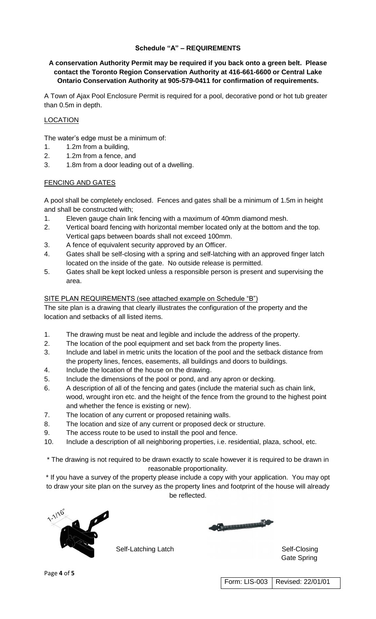## **Schedule "A" – REQUIREMENTS**

### **A conservation Authority Permit may be required if you back onto a green belt. Please contact the Toronto Region Conservation Authority at 416-661-6600 or Central Lake Ontario Conservation Authority at 905-579-0411 for confirmation of requirements.**

A Town of Ajax Pool Enclosure Permit is required for a pool, decorative pond or hot tub greater than 0.5m in depth.

## LOCATION

The water's edge must be a minimum of:

- 1. 1.2m from a building,
- 2. 1.2m from a fence, and
- 3. 1.8m from a door leading out of a dwelling.

#### FENCING AND GATES

A pool shall be completely enclosed. Fences and gates shall be a minimum of 1.5m in height and shall be constructed with;

- 1. Eleven gauge chain link fencing with a maximum of 40mm diamond mesh.
- 2. Vertical board fencing with horizontal member located only at the bottom and the top. Vertical gaps between boards shall not exceed 100mm.
- 3. A fence of equivalent security approved by an Officer.
- 4. Gates shall be self-closing with a spring and self-latching with an approved finger latch located on the inside of the gate. No outside release is permitted.
- 5. Gates shall be kept locked unless a responsible person is present and supervising the area.

### SITE PLAN REQUIREMENTS (see attached example on Schedule "B")

The site plan is a drawing that clearly illustrates the configuration of the property and the location and setbacks of all listed items.

- 1. The drawing must be neat and legible and include the address of the property.
- 2. The location of the pool equipment and set back from the property lines.
- 3. Include and label in metric units the location of the pool and the setback distance from the property lines, fences, easements, all buildings and doors to buildings.
- 4. Include the location of the house on the drawing.
- 5. Include the dimensions of the pool or pond, and any apron or decking.
- 6. A description of all of the fencing and gates (include the material such as chain link, wood, wrought iron etc. and the height of the fence from the ground to the highest point and whether the fence is existing or new).
- 7. The location of any current or proposed retaining walls.
- 8. The location and size of any current or proposed deck or structure.
- 9. The access route to be used to install the pool and fence.
- 10. Include a description of all neighboring properties, i.e. residential, plaza, school, etc.

\* The drawing is not required to be drawn exactly to scale however it is required to be drawn in reasonable proportionality.

\* If you have a survey of the property please include a copy with your application. You may opt to draw your site plan on the survey as the property lines and footprint of the house will already be reflected.



**Communication** 

Self-Latching Latch Self-Closing Gate Spring